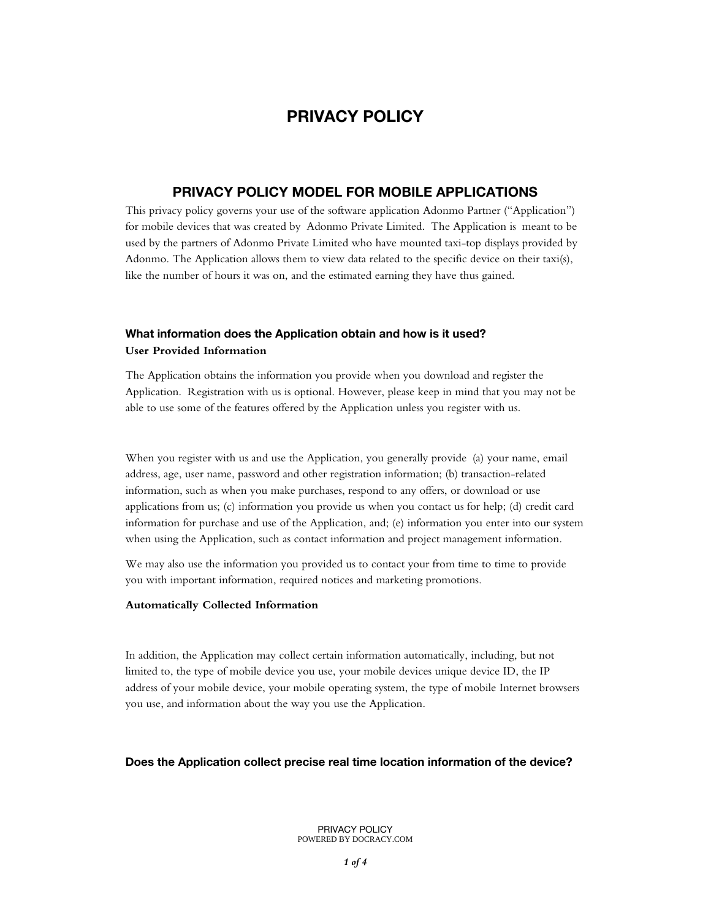# **PRIVACY POLICY**

### **PRIVACY POLICY MODEL FOR MOBILE APPLICATIONS**

This privacy policy governs your use of the software application Adonmo Partner ("Application") for mobile devices that was created by Adonmo Private Limited. The Application is meant to be used by the partners of Adonmo Private Limited who have mounted taxi-top displays provided by Adonmo. The Application allows them to view data related to the specific device on their taxi(s), like the number of hours it was on, and the estimated earning they have thus gained.

## **What information does the Application obtain and how is it used? User Provided Information**

The Application obtains the information you provide when you download and register the Application. Registration with us is optional. However, please keep in mind that you may not be able to use some of the features offered by the Application unless you register with us.

When you register with us and use the Application, you generally provide (a) your name, email address, age, user name, password and other registration information; (b) transaction-related information, such as when you make purchases, respond to any offers, or download or use applications from us; (c) information you provide us when you contact us for help; (d) credit card information for purchase and use of the Application, and; (e) information you enter into our system when using the Application, such as contact information and project management information.

We may also use the information you provided us to contact your from time to time to provide you with important information, required notices and marketing promotions.

#### **Automatically Collected Information**

In addition, the Application may collect certain information automatically, including, but not limited to, the type of mobile device you use, your mobile devices unique device ID, the IP address of your mobile device, your mobile operating system, the type of mobile Internet browsers you use, and information about the way you use the Application.

#### **Does the Application collect precise real time location information of the device?**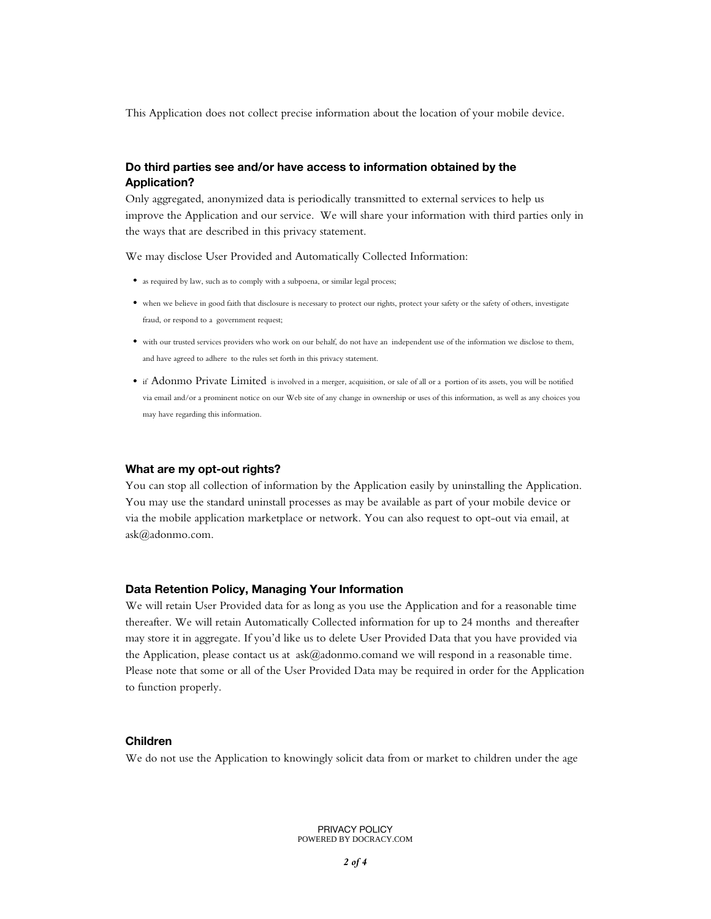This Application does not collect precise information about the location of your mobile device.

### **Do third parties see and/or have access to information obtained by the Application?**

Only aggregated, anonymized data is periodically transmitted to external services to help us improve the Application and our service. We will share your information with third parties only in the ways that are described in this privacy statement.

We may disclose User Provided and Automatically Collected Information:

- as required by law, such as to comply with a subpoena, or similar legal process;
- when we believe in good faith that disclosure is necessary to protect our rights, protect your safety or the safety of others, investigate fraud, or respond to a government request;
- with our trusted services providers who work on our behalf, do not have an independent use of the information we disclose to them, and have agreed to adhere to the rules set forth in this privacy statement.
- if Adonmo Private Limited is involved in a merger, acquisition, or sale of all or a portion of its assets, you will be notified via email and/or a prominent notice on our Web site of any change in ownership or uses of this information, as well as any choices you may have regarding this information.

#### **What are my opt-out rights?**

You can stop all collection of information by the Application easily by uninstalling the Application. You may use the standard uninstall processes as may be available as part of your mobile device or via the mobile application marketplace or network. You can also request to opt-out via email, at ask@adonmo.com.

#### **Data Retention Policy, Managing Your Information**

We will retain User Provided data for as long as you use the Application and for a reasonable time thereafter. We will retain Automatically Collected information for up to 24 months and thereafter may store it in aggregate. If you'd like us to delete User Provided Data that you have provided via the Application, please contact us at  $ask@adonmo.comand$  we will respond in a reasonable time. Please note that some or all of the User Provided Data may be required in order for the Application to function properly.

### **Children**

We do not use the Application to knowingly solicit data from or market to children under the age